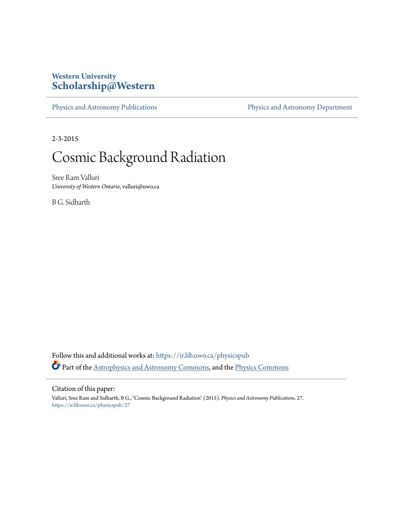## **Western University [Scholarship@Western](https://ir.lib.uwo.ca?utm_source=ir.lib.uwo.ca%2Fphysicspub%2F27&utm_medium=PDF&utm_campaign=PDFCoverPages)**

[Physics and Astronomy Publications](https://ir.lib.uwo.ca/physicspub?utm_source=ir.lib.uwo.ca%2Fphysicspub%2F27&utm_medium=PDF&utm_campaign=PDFCoverPages) [Physics and Astronomy Department](https://ir.lib.uwo.ca/physics?utm_source=ir.lib.uwo.ca%2Fphysicspub%2F27&utm_medium=PDF&utm_campaign=PDFCoverPages)

2-3-2015

# Cosmic Background Radiation

Sree Ram Valluri *University of Western Ontario*, valluri@uwo.ca

B G. Sidharth

Follow this and additional works at: [https://ir.lib.uwo.ca/physicspub](https://ir.lib.uwo.ca/physicspub?utm_source=ir.lib.uwo.ca%2Fphysicspub%2F27&utm_medium=PDF&utm_campaign=PDFCoverPages) Part of the [Astrophysics and Astronomy Commons,](http://network.bepress.com/hgg/discipline/123?utm_source=ir.lib.uwo.ca%2Fphysicspub%2F27&utm_medium=PDF&utm_campaign=PDFCoverPages) and the [Physics Commons](http://network.bepress.com/hgg/discipline/193?utm_source=ir.lib.uwo.ca%2Fphysicspub%2F27&utm_medium=PDF&utm_campaign=PDFCoverPages)

#### Citation of this paper:

Valluri, Sree Ram and Sidharth, B G., "Cosmic Background Radiation" (2015). *Physics and Astronomy Publications*. 27. [https://ir.lib.uwo.ca/physicspub/27](https://ir.lib.uwo.ca/physicspub/27?utm_source=ir.lib.uwo.ca%2Fphysicspub%2F27&utm_medium=PDF&utm_campaign=PDFCoverPages)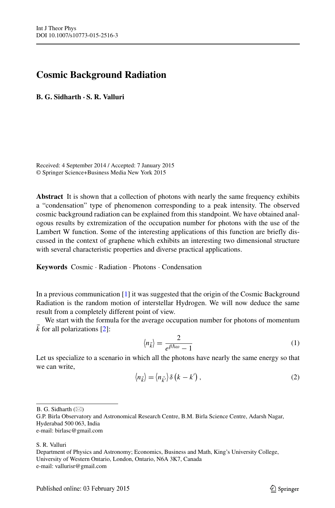### **Cosmic Background Radiation**

**B. G. Sidharth · S. R. Valluri**

Received: 4 September 2014 / Accepted: 7 January 2015 © Springer Science+Business Media New York 2015

**Abstract** It is shown that a collection of photons with nearly the same frequency exhibits a "condensation" type of phenomenon corresponding to a peak intensity. The observed cosmic background radiation can be explained from this standpoint. We have obtained analogous results by extremization of the occupation number for photons with the use of the Lambert W function. Some of the interesting applications of this function are briefly discussed in the context of graphene which exhibits an interesting two dimensional structure with several characteristic properties and diverse practical applications.

**Keywords** Cosmic · Radiation · Photons · Condensation

In a previous communication [\[1\]](#page-5-0) it was suggested that the origin of the Cosmic Background Radiation is the random motion of interstellar Hydrogen. We will now deduce the same result from a completely different point of view.

We start with the formula for the average occupation number for photons of momentum *k*- for all polarizations [\[2\]](#page-5-1):

<span id="page-1-0"></span>
$$
\langle n_{\vec{k}} \rangle = \frac{2}{e^{\beta \hbar \omega} - 1} \tag{1}
$$

Let us specialize to a scenario in which all the photons have nearly the same energy so that we can write,

<span id="page-1-1"></span>
$$
\langle n_{\vec{k}} \rangle = \langle n_{\vec{k'}} \rangle \delta \left( k - k' \right), \tag{2}
$$

B. G. Sidharth  $(\boxtimes)$ 

S. R. Valluri

Department of Physics and Astronomy; Economics, Business and Math, King's University College, University of Western Ontario, London, Ontario, N6A 3K7, Canada e-mail: [vallurisr@gmail.com](mailto:vallurisr@gmail.com)

G.P. Birla Observatory and Astronomical Research Centre, B.M. Birla Science Centre, Adarsh Nagar, Hyderabad 500 063, India e-mail: [birlasc@gmail.com](mailto:birlasc@gmail.com)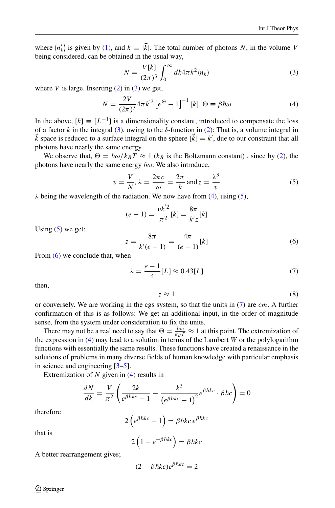where  $\langle n'_k \rangle$  is given by [\(1\)](#page-1-0), and  $k \equiv |k|$ . The total number of photons *N*, in the volume *V* being considered, can be obtained in the usual way,

<span id="page-2-0"></span>
$$
N = \frac{V[k]}{(2\pi)^3} \int_0^\infty dk 4\pi k^2 \langle n_k \rangle
$$
 (3)

where  $V$  is large. Inserting  $(2)$  in  $(3)$  we get,

<span id="page-2-1"></span>
$$
N = \frac{2V}{(2\pi)^3} 4\pi k'^2 \left[ \epsilon^\Theta - 1 \right]^{-1} [k], \Theta \equiv \beta \hbar \omega \tag{4}
$$

In the above,  $[k] \equiv [L^{-1}]$  is a dimensionality constant, introduced to compensate the loss of a factor *k* in the integral [\(3\)](#page-2-0), owing to the  $\delta$ -function in [\(2\)](#page-1-1): That is, a volume integral in *k* space is reduced to a surface integral on the sphere  $[k] = k'$ , due to our constraint that all photons have nearly the same energy.

We observe that,  $\Theta = \hbar \omega / k_B T \approx 1$  ( $k_B$  is the Boltzmann constant), since by [\(2\)](#page-1-1), the photons have nearly the same energy  $\hbar \omega$ . We also introduce,

<span id="page-2-2"></span>
$$
v = \frac{V}{N}, \lambda = \frac{2\pi c}{\omega} = \frac{2\pi}{k} \text{ and } z = \frac{\lambda^3}{v}
$$
 (5)

*λ* being the wavelength of the radiation. We now have from [\(4\)](#page-2-1), using [\(5\)](#page-2-2),

$$
(e-1) = \frac{vk^2}{\pi^2}[k] = \frac{8\pi}{k'z}[k]
$$

Using  $(5)$  we get:

<span id="page-2-3"></span>
$$
z = \frac{8\pi}{k'(e-1)} = \frac{4\pi}{(e-1)}[k]
$$
 (6)

From [\(6\)](#page-2-3) we conclude that, when

<span id="page-2-4"></span>
$$
\lambda = \frac{e-1}{4}[L] \approx 0.43[L] \tag{7}
$$

then,

$$
z \approx 1 \tag{8}
$$

or conversely. We are working in the cgs system, so that the units in [\(7\)](#page-2-4) are *cm*. A further confirmation of this is as follows: We get an additional input, in the order of magnitude sense, from the system under consideration to fix the units.

There may not be a real need to say that  $\Theta = \frac{\hbar \omega}{k_B T} \approx 1$  at this point. The extremization of the expression in [\(4\)](#page-2-1) may lead to a solution in terms of the Lambert *W* or the polylogarithm functions with essentially the same results. These functions have created a renaissance in the solutions of problems in many diverse fields of human knowledge with particular emphasis in science and engineering [\[3](#page-5-2)[–5\]](#page-5-3).

Extremization of *N* given in [\(4\)](#page-2-1) results in

$$
\frac{dN}{dk} = \frac{V}{\pi^2} \left( \frac{2k}{e^{\beta \hbar k c} - 1} - \frac{k^2}{\left(e^{\beta \hbar k c} - 1\right)^2} e^{\beta \hbar k c} \cdot \beta \hbar c \right) = 0
$$

therefore

$$
2\left(e^{\beta\hbar kc} - 1\right) = \beta\hbar kc \, e^{\beta\hbar kc}
$$

that is

$$
2\left(1 - e^{-\beta \hbar k c}\right) = \beta \hbar k c
$$

A better rearrangement gives;

$$
(2-\beta \hbar k c)e^{\beta \hbar k c}=2
$$

 $\mathcal{D}$  Springer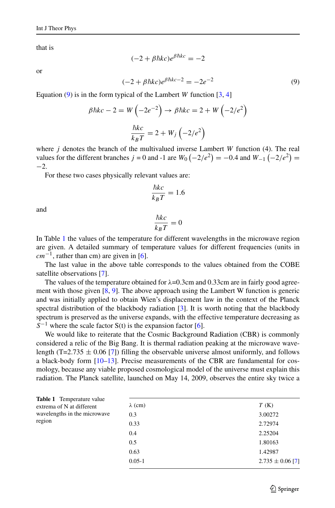that is

$$
(-2+\beta\hbar k c)e^{\beta\hbar k c} = -2
$$

or

<span id="page-3-0"></span>
$$
(-2 + \beta \hbar k c)e^{\beta \hbar k c - 2} = -2e^{-2}
$$
 (9)

Equation [\(9\)](#page-3-0) is in the form typical of the Lambert *W* function [\[3,](#page-5-2) [4\]](#page-5-4)

$$
\beta \hbar k c - 2 = W(-2e^{-2}) \rightarrow \beta \hbar k c = 2 + W(-2/e^{2})
$$

$$
\frac{\hbar k c}{k_B T} = 2 + W_j(-2/e^{2})
$$

where *j* denotes the branch of the multivalued inverse Lambert *W* function (4). The real values for the different branches  $j = 0$  and  $-1$  are  $W_0(-2/e^2) = -0.4$  and  $W_{-1}(-2/e^2) =$  $-2$ .

For these two cases physically relevant values are:

$$
\frac{\hbar k c}{k_B T} = 1.6
$$

and

$$
\frac{\hbar k c}{k_B T} = 0
$$

In Table [1](#page-3-1) the values of the temperature for different wavelengths in the microwave region are given. A detailed summary of temperature values for different frequencies (units in *cm*<sup>−1</sup>, rather than cm) are given in [\[6\]](#page-5-5).

The last value in the above table corresponds to the values obtained from the COBE satellite observations [\[7\]](#page-5-6).

The values of the temperature obtained for *λ*=0.3cm and 0.33cm are in fairly good agreement with those given  $[8, 9]$  $[8, 9]$  $[8, 9]$ . The above approach using the Lambert W function is generic and was initially applied to obtain Wien's displacement law in the context of the Planck spectral distribution of the blackbody radiation [\[3\]](#page-5-2). It is worth noting that the blackbody spectrum is preserved as the universe expands, with the effective temperature decreasing as  $S^{-1}$  where the scale factor S(t) is the expansion factor [\[6\]](#page-5-5).

We would like to reiterate that the Cosmic Background Radiation (CBR) is commonly considered a relic of the Big Bang. It is thermal radiation peaking at the microwave wavelength (T=2.735  $\pm$  0.06 [\[7\]](#page-5-6)) filling the observable universe almost uniformly, and follows a black-body form [\[10–](#page-5-9)[13\]](#page-5-10). Precise measurements of the CBR are fundamental for cosmology, because any viable proposed cosmological model of the universe must explain this radiation. The Planck satellite, launched on May 14, 2009, observes the entire sky twice a

<span id="page-3-1"></span>

| <b>Table 1</b> Temperature value<br>extrema of N at different<br>wavelengths in the microwave<br>region |                |                      |
|---------------------------------------------------------------------------------------------------------|----------------|----------------------|
|                                                                                                         | $\lambda$ (cm) | T(K)                 |
|                                                                                                         | 0.3            | 3.00272              |
|                                                                                                         | 0.33           | 2.72974              |
|                                                                                                         | 0.4            | 2.25204              |
|                                                                                                         | 0.5            | 1.80163              |
|                                                                                                         | 0.63           | 1.42987              |
|                                                                                                         | $0.05 - 1$     | $2.735 \pm 0.06$ [7] |
|                                                                                                         |                |                      |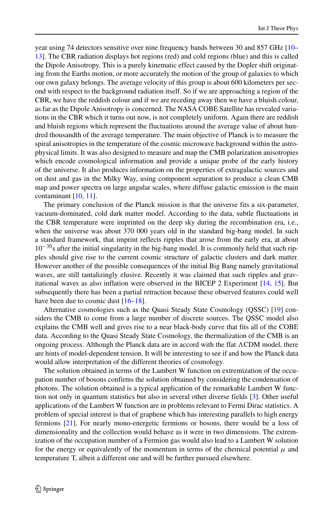year using 74 detectors sensitive over nine frequency bands between 30 and 857 GHz [\[10–](#page-5-9) [13\]](#page-5-10). The CBR radiation displays hot regions (red) and cold regions (blue) and this is called the Dipole Anisotropy. This is a purely kinematic effect caused by the Dopler shift originating from the Earths motion, or more accurately the motion of the group of galaxies to which our own galaxy belongs. The average velocity of this group is about 600 kilometers per second with respect to the background radiation itself. So if we are approaching a region of the CBR, we have the reddish colour and if we are receding away then we have a bluish colour, as far as the Dipole Anisotropy is concerned. The NASA COBE Satellite has revealed variations in the CBR which it turns out now, is not completely uniform. Again there are reddish and bluish regions which represent the fluctuations around the average value of about hundred thousandth of the average temperature. The main objective of Planck is to measure the spiral anisotropies in the temperature of the cosmic microwave background within the astrophysical limits. It was also designed to measure and map the CMB polarization anisotropies which encode cosmological information and provide a unique probe of the early history of the universe. It also produces information on the properties of extragalactic sources and on dust and gas in the Milky Way, using component separation to produce a clean CMB map and power spectra on large angular scales, where diffuse galactic emission is the main contaminant [\[10,](#page-5-9) [11\]](#page-5-11).

The primary conclusion of the Planck mission is that the universe fits a six-parameter, vacuum-dominated, cold dark matter model. According to the data, subtle fluctuations in the CBR temperature were imprinted on the deep sky during the recombination era, i.e., when the universe was about 370 000 years old in the standard big-bang model. In such a standard framework, that imprint reflects ripples that arose from the early era, at about  $10^{-30}$ s after the initial singularity in the big-bang model. It is commonly held that such ripples should give rise to the current cosmic structure of galactic clusters and dark matter. However another of the possible consequences of the initial Big Bang namely gravitational waves, are still tantalizingly elusive. Recently it was claimed that such ripples and gravitational waves as also inflation were observed in the BICEP 2 Experiment [\[14,](#page-5-12) [15\]](#page-5-13). But subsequently there has been a partial retraction because these observed features could well have been due to cosmic dust [\[16](#page-5-14)[–18\]](#page-5-15).

Alternative cosmologies such as the Quasi Steady State Cosmology (QSSC) [\[19\]](#page-5-16) considers the CMB to come from a large number of discrete sources. The QSSC model also explains the CMB well and gives rise to a near black-body curve that fits all of the COBE data. According to the Quasi Steady State Cosmology, the thermalization of the CMB is an ongoing process. Although the Planck data are in accord with the flat  $\Lambda$ CDM model, there are hints of model-dependent tension. It will be interesting to see if and how the Planck data would allow interpretation of the different theories of cosmology.

The solution obtained in terms of the Lambert W function on extremization of the occupation number of bosons confirms the solution obtained by considering the condensation of photons. The solution obtained is a typical application of the remarkable Lambert W function not only in quantum statistics but also in several other diverse fields [\[3\]](#page-5-2). Other useful applications of the Lambert W function are in problems relevant to Fermi Dirac statistics. A problem of special interest is that of graphene which has interesting parallels to high energy fermions [\[21\]](#page-6-0). For nearly mono-energetic fermions or bosons, there would be a loss of dimensionality and the collection would behave as it were in two dimensions. The extremization of the occupation number of a Fermion gas would also lead to a Lambert W solution for the energy or equivalently of the momentum in terms of the chemical potential  $\mu$  and temperature T, albeit a different one and will be further pursued elsewhere.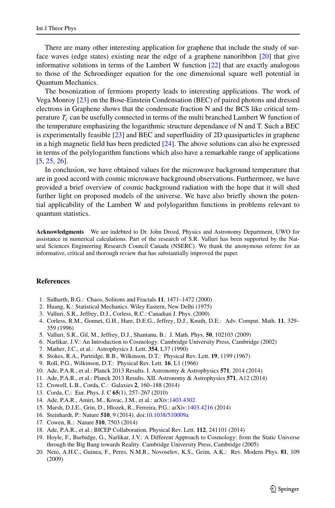There are many other interesting application for graphene that include the study of surface waves (edge states) existing near the edge of a graphene nanoribbon [\[20\]](#page-5-17) that give informative solutions in terms of the Lambert W function [\[22\]](#page-6-1) that are exactly analogous to those of the Schroedinger equation for the one dimensional square well potential in Quantum Mechanics.

The bosonization of fermions property leads to interesting applications. The work of Vega Monroy [\[23\]](#page-6-2) on the Bose-Einstein Condensation (BEC) of paired photons and dressed electrons in Graphene shows that the condensate fraction N and the BCS like critical temperature  $T_c$  can be usefully connected in terms of the multi branched Lambert W function of the temperature emphasizing the logarithmic structure dependance of N and T. Such a BEC is experimentally feasible  $[23]$  and BEC and superfluidity of 2D quasiparticles in graphene in a high magnetic field has been predicted  $[24]$ . The above solutions can also be expressed in terms of the polylogarithm functions which also have a remarkable range of applications [\[5,](#page-5-3) [25,](#page-6-4) [26\]](#page-6-5).

In conclusion, we have obtained values for the microwave background temperature that are in good accord with cosmic microwave background observations. Furthermore, we have provided a brief overview of cosmic background radiation with the hope that it will shed further light on proposed models of the universe. We have also briefly shown the potential applicability of the Lambert W and polylogarithm functions in problems relevant to quantum statistics.

**Acknowledgments** We are indebted to Dr. John Drozd, Physics and Astronomy Department, UWO for assistance in numerical calculations. Part of the research of S.R. Valluri has been supported by the Natural Sciences Engineering Research Council Canada (NSERC). We thank the anonymous referee for an informative, critical and thorough review that has substantially improved the paper.

#### **References**

- <span id="page-5-0"></span>1. Sidharth, B.G.: Chaos, Solitons and Fractals **11**, 1471–1472 (2000)
- <span id="page-5-1"></span>2. Huang, K.: Statistical Mechanics. Wiley Eastern, New Delhi (1975)
- <span id="page-5-2"></span>3. Valluri, S.R., Jeffrey, D.J., Corless, R.C.: Canadian J. Phys. (2000)
- <span id="page-5-4"></span>4. Corless, R.M., Gonnet, G.H., Hare, D.E.G., Jeffrey, D.J., Knuth, D.E.: Adv. Comput. Math. **11**, 329– 359 (1996)
- <span id="page-5-3"></span>5. Valluri, S.R., Gil, M., Jeffrey, D.J., Shantanu, B.: J. Math. Phys. **50**, 102103 (2009)
- <span id="page-5-5"></span>6. Narlikar, J.V.: An Introduction to Cosmology. Cambridge University Press, Cambridge (2002)
- <span id="page-5-6"></span>7. Mather, J.C., et al.: Astrophysics J. Lett. **354**, L37 (1990)
- <span id="page-5-7"></span>8. Stokes, R.A., Partridge, R.B., Wilkinson, D.T.: Physical Rev. Lett. **19**, 1199 (1967)
- <span id="page-5-8"></span>9. Roll, P.G., Wilkinson, D.T.: Physical Rev. Lett. **16**, L1 (1966)
- <span id="page-5-9"></span>10. Ade, P.A.R., et al.: Planck 2013 Results. I. Astronomy & Astrophysics **571**, 2014 (2014)
- <span id="page-5-11"></span>11. Ade, P.A.R., et al.: Planck 2013 Results. XII. Astronomy & Astrophysics **571**, A12 (2014)
- 12. Crowell, L.B., Corda, C.: Galaxies **2**, 160–188 (2014)
- <span id="page-5-10"></span>13. Corda, C.: Eur. Phys. J. C **65**(1), 257–267 (2010)
- <span id="page-5-12"></span>14. Ade, P.A.R., Amiri, M., Kovac, J.M., et al.: arXiv[:1403.4302](http://arxiv.org/abs/1403.4302)
- <span id="page-5-13"></span>15. Marsh, D.J.E., Grin, D., Hlozek, R., Ferreira, P.G.: arXiv[:1403.4216](http://arxiv.org/abs/1403.4216) (2014)
- <span id="page-5-14"></span>16. Steinhardt, P.: Nature **510**, 9 (2014). doi[:10.1038/510009a](http://dx.doi.org/10.1038/510009a)
- 17. Cowen, R.: Nature **510**, 7503 (2014)
- <span id="page-5-15"></span>18. Ade, P.A.R., et al.: BICEP Collaboration. Physical Rev. Lett. **112**, 241101 (2014)
- <span id="page-5-16"></span>19. Hoyle, F., Burbidge, G., Narlikar, J.V.: A Different Approach to Cosmology: from the Static Universe through the Big Bang towards Reality. Cambridge University Press, Cambridge (2005)
- <span id="page-5-17"></span>20. Neto, A.H.C., Guinea, F., Peres, N.M.R., Novoselov, K.S., Geim, A.K.: Rev. Modern Phys. **81**, 109 (2009)